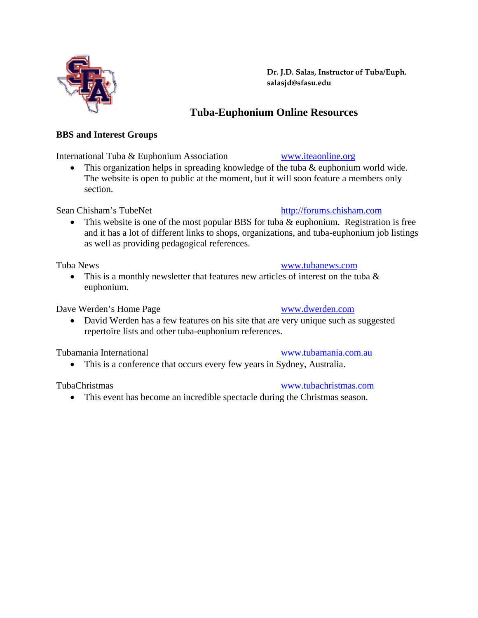**Dr. J.D. Salas, Instructor of Tuba/Euph. salasjd@sfasu.edu**

# **Tuba-Euphonium Online Resources**

# **BBS and Interest Groups**

International Tuba & Euphonium Association [www.iteaonline.org](http://www.iteaonline.org/)

• This organization helps in spreading knowledge of the tuba & euphonium world wide. The website is open to public at the moment, but it will soon feature a members only section.

Sean Chisham's TubeNet [http://forums.chisham.com](http://www.chisham.com/)

• This website is one of the most popular BBS for tuba & euphonium. Registration is free and it has a lot of different links to shops, organizations, and tuba-euphonium job listings as well as providing pedagogical references.

Tuba News [www.tubanews.com](http://www.tubanews.com/)

• This is a monthly newsletter that features new articles of interest on the tuba  $\&$ euphonium.

Dave Werden's Home Page [www.dwerden.com](http://www.dwerden.com/)

• David Werden has a few features on his site that are very unique such as suggested repertoire lists and other tuba-euphonium references.

Tubamania International [www.tubamania.com.au](http://www.tubamania.com.au/)

• This is a conference that occurs every few years in Sydney, Australia.

• This event has become an incredible spectacle during the Christmas season.

# TubaChristmas [www.tubachristmas.com](http://www.tubachristmas.com/)